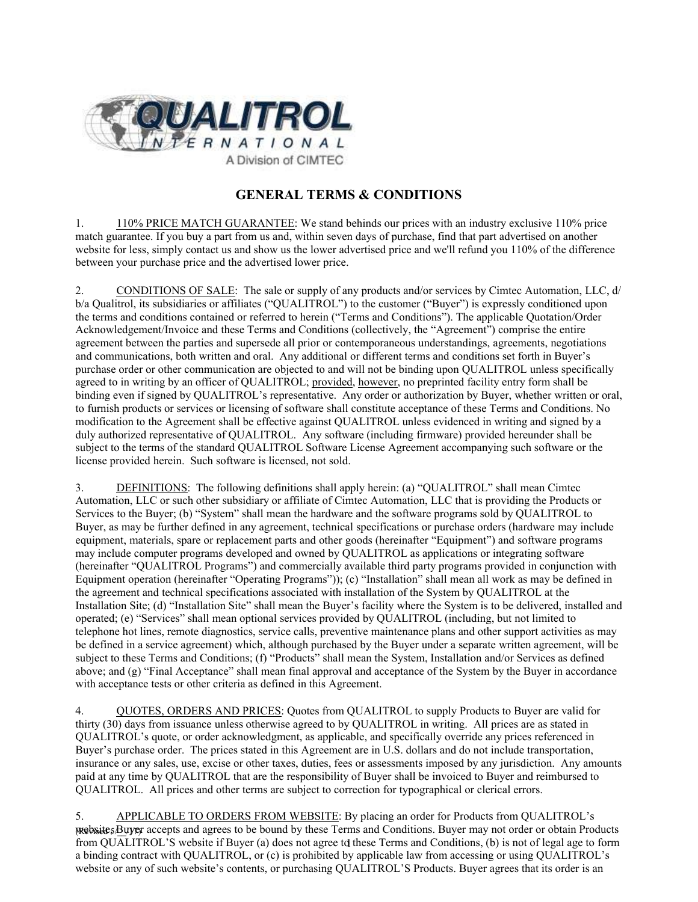

# **GENERAL TERMS & CONDITIONS**

1. 110% PRICE MATCH GUARANTEE: We stand behinds our prices with an industry exclusive 110% price match guarantee. If you buy a part from us and, within seven days of purchase, find that part advertised on another website for less, simply contact us and show us the lower advertised price and we'll refund you 110% of the difference between your purchase price and the advertised lower price.

2. CONDITIONS OF SALE: The sale or supply of any products and/or services by Cimtec Automation, LLC, d/ b/a Qualitrol, its subsidiaries or affiliates ("QUALITROL") to the customer ("Buyer") is expressly conditioned upon the terms and conditions contained or referred to herein ("Terms and Conditions"). The applicable Quotation/Order Acknowledgement/Invoice and these Terms and Conditions (collectively, the "Agreement") comprise the entire agreement between the parties and supersede all prior or contemporaneous understandings, agreements, negotiations and communications, both written and oral. Any additional or different terms and conditions set forth in Buyer's purchase order or other communication are objected to and will not be binding upon QUALITROL unless specifically agreed to in writing by an officer of QUALITROL; provided, however, no preprinted facility entry form shall be binding even if signed by QUALITROL's representative. Any order or authorization by Buyer, whether written or oral, to furnish products or services or licensing of software shall constitute acceptance of these Terms and Conditions. No modification to the Agreement shall be effective against QUALITROL unless evidenced in writing and signed by a duly authorized representative of QUALITROL. Any software (including firmware) provided hereunder shall be subject to the terms of the standard QUALITROL Software License Agreement accompanying such software or the license provided herein. Such software is licensed, not sold.

3. DEFINITIONS: The following definitions shall apply herein: (a) "QUALITROL" shall mean Cimtec Automation, LLC or such other subsidiary or affiliate of Cimtec Automation, LLC that is providing the Products or Services to the Buyer; (b) "System" shall mean the hardware and the software programs sold by QUALITROL to Buyer, as may be further defined in any agreement, technical specifications or purchase orders (hardware may include equipment, materials, spare or replacement parts and other goods (hereinafter "Equipment") and software programs may include computer programs developed and owned by QUALITROL as applications or integrating software (hereinafter "QUALITROL Programs") and commercially available third party programs provided in conjunction with Equipment operation (hereinafter "Operating Programs")); (c) "Installation" shall mean all work as may be defined in the agreement and technical specifications associated with installation of the System by QUALITROL at the Installation Site; (d) "Installation Site" shall mean the Buyer's facility where the System is to be delivered, installed and operated; (e) "Services" shall mean optional services provided by QUALITROL (including, but not limited to telephone hot lines, remote diagnostics, service calls, preventive maintenance plans and other support activities as may be defined in a service agreement) which, although purchased by the Buyer under a separate written agreement, will be subject to these Terms and Conditions; (f) "Products" shall mean the System, Installation and/or Services as defined above; and (g) "Final Acceptance" shall mean final approval and acceptance of the System by the Buyer in accordance with acceptance tests or other criteria as defined in this Agreement.

4. QUOTES, ORDERS AND PRICES: Quotes from QUALITROL to supply Products to Buyer are valid for thirty (30) days from issuance unless otherwise agreed to by QUALITROL in writing. All prices are as stated in QUALITROL's quote, or order acknowledgment, as applicable, and specifically override any prices referenced in Buyer's purchase order. The prices stated in this Agreement are in U.S. dollars and do not include transportation, insurance or any sales, use, excise or other taxes, duties, fees or assessments imposed by any jurisdiction. Any amounts paid at any time by QUALITROL that are the responsibility of Buyer shall be invoiced to Buyer and reimbursed to QUALITROL. All prices and other terms are subject to correction for typographical or clerical errors.

website, Buyer accepts and agrees to be bound by these Terms and Conditions. Buyer may not order or obtain Products from QUALITROL'S website if Buyer (a) does not agree to these Terms and Conditions, (b) is not of legal age to form 5. APPLICABLE TO ORDERS FROM WEBSITE: By placing an order for Products from QUALITROL's a binding contract with QUALITROL, or (c) is prohibited by applicable law from accessing or using QUALITROL's website or any of such website's contents, or purchasing QUALITROL'S Products. Buyer agrees that its order is an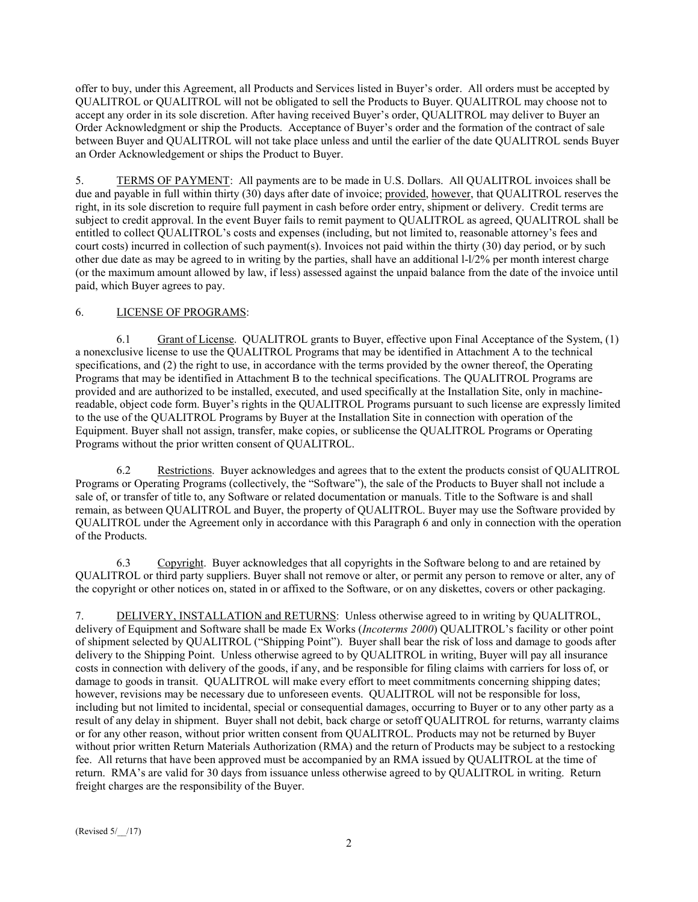offer to buy, under this Agreement, all Products and Services listed in Buyer's order. All orders must be accepted by QUALITROL or QUALITROL will not be obligated to sell the Products to Buyer. QUALITROL may choose not to accept any order in its sole discretion. After having received Buyer's order, QUALITROL may deliver to Buyer an Order Acknowledgment or ship the Products. Acceptance of Buyer's order and the formation of the contract of sale between Buyer and QUALITROL will not take place unless and until the earlier of the date QUALITROL sends Buyer an Order Acknowledgement or ships the Product to Buyer.

5. TERMS OF PAYMENT: All payments are to be made in U.S. Dollars. All QUALITROL invoices shall be due and payable in full within thirty (30) days after date of invoice; provided, however, that QUALITROL reserves the right, in its sole discretion to require full payment in cash before order entry, shipment or delivery. Credit terms are subject to credit approval. In the event Buyer fails to remit payment to QUALITROL as agreed, QUALITROL shall be entitled to collect QUALITROL's costs and expenses (including, but not limited to, reasonable attorney's fees and court costs) incurred in collection of such payment(s). Invoices not paid within the thirty (30) day period, or by such other due date as may be agreed to in writing by the parties, shall have an additional l-l/2% per month interest charge (or the maximum amount allowed by law, if less) assessed against the unpaid balance from the date of the invoice until paid, which Buyer agrees to pay.

### 6. LICENSE OF PROGRAMS:

6.1 Grant of License. QUALITROL grants to Buyer, effective upon Final Acceptance of the System, (1) a nonexclusive license to use the QUALITROL Programs that may be identified in Attachment A to the technical specifications, and (2) the right to use, in accordance with the terms provided by the owner thereof, the Operating Programs that may be identified in Attachment B to the technical specifications. The QUALITROL Programs are provided and are authorized to be installed, executed, and used specifically at the Installation Site, only in machinereadable, object code form. Buyer's rights in the QUALITROL Programs pursuant to such license are expressly limited to the use of the QUALITROL Programs by Buyer at the Installation Site in connection with operation of the Equipment. Buyer shall not assign, transfer, make copies, or sublicense the QUALITROL Programs or Operating Programs without the prior written consent of QUALITROL.

6.2 Restrictions. Buyer acknowledges and agrees that to the extent the products consist of QUALITROL Programs or Operating Programs (collectively, the "Software"), the sale of the Products to Buyer shall not include a sale of, or transfer of title to, any Software or related documentation or manuals. Title to the Software is and shall remain, as between QUALITROL and Buyer, the property of QUALITROL. Buyer may use the Software provided by QUALITROL under the Agreement only in accordance with this Paragraph 6 and only in connection with the operation of the Products.

6.3 Copyright. Buyer acknowledges that all copyrights in the Software belong to and are retained by QUALITROL or third party suppliers. Buyer shall not remove or alter, or permit any person to remove or alter, any of the copyright or other notices on, stated in or affixed to the Software, or on any diskettes, covers or other packaging.

7. DELIVERY, INSTALLATION and RETURNS: Unless otherwise agreed to in writing by QUALITROL, delivery of Equipment and Software shall be made Ex Works (*Incoterms 2000*) QUALITROL's facility or other point of shipment selected by QUALITROL ("Shipping Point"). Buyer shall bear the risk of loss and damage to goods after delivery to the Shipping Point. Unless otherwise agreed to by QUALITROL in writing, Buyer will pay all insurance costs in connection with delivery of the goods, if any, and be responsible for filing claims with carriers for loss of, or damage to goods in transit. QUALITROL will make every effort to meet commitments concerning shipping dates; however, revisions may be necessary due to unforeseen events. QUALITROL will not be responsible for loss, including but not limited to incidental, special or consequential damages, occurring to Buyer or to any other party as a result of any delay in shipment. Buyer shall not debit, back charge or setoff QUALITROL for returns, warranty claims or for any other reason, without prior written consent from QUALITROL. Products may not be returned by Buyer without prior written Return Materials Authorization (RMA) and the return of Products may be subject to a restocking fee. All returns that have been approved must be accompanied by an RMA issued by QUALITROL at the time of return. RMA's are valid for 30 days from issuance unless otherwise agreed to by QUALITROL in writing. Return freight charges are the responsibility of the Buyer.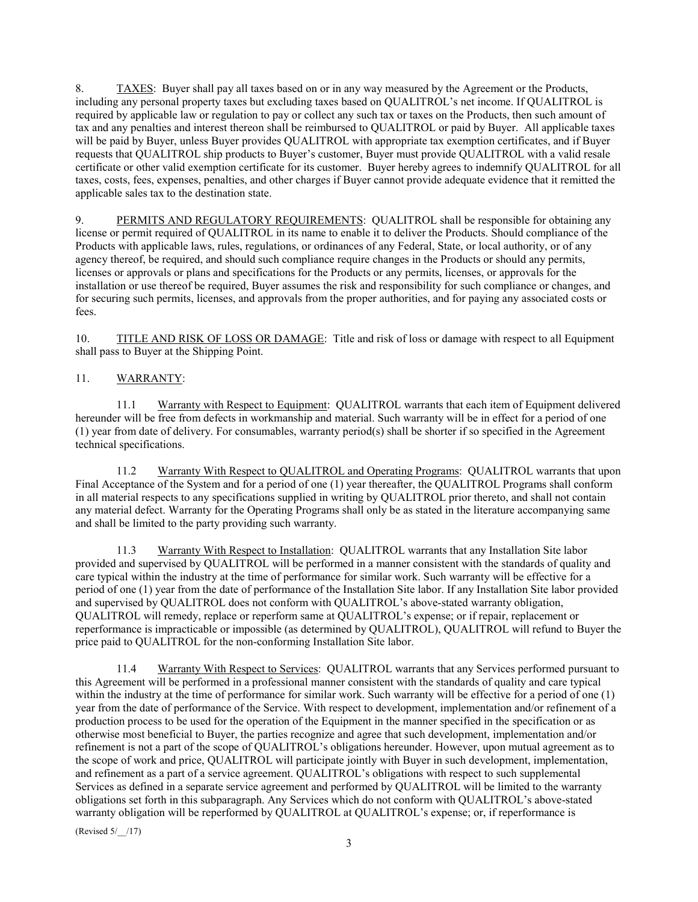8. TAXES: Buyer shall pay all taxes based on or in any way measured by the Agreement or the Products, including any personal property taxes but excluding taxes based on QUALITROL's net income. If QUALITROL is required by applicable law or regulation to pay or collect any such tax or taxes on the Products, then such amount of tax and any penalties and interest thereon shall be reimbursed to QUALITROL or paid by Buyer. All applicable taxes will be paid by Buyer, unless Buyer provides OUALITROL with appropriate tax exemption certificates, and if Buyer requests that QUALITROL ship products to Buyer's customer, Buyer must provide QUALITROL with a valid resale certificate or other valid exemption certificate for its customer. Buyer hereby agrees to indemnify QUALITROL for all taxes, costs, fees, expenses, penalties, and other charges if Buyer cannot provide adequate evidence that it remitted the applicable sales tax to the destination state.

9. PERMITS AND REGULATORY REQUIREMENTS: QUALITROL shall be responsible for obtaining any license or permit required of QUALITROL in its name to enable it to deliver the Products. Should compliance of the Products with applicable laws, rules, regulations, or ordinances of any Federal, State, or local authority, or of any agency thereof, be required, and should such compliance require changes in the Products or should any permits, licenses or approvals or plans and specifications for the Products or any permits, licenses, or approvals for the installation or use thereof be required, Buyer assumes the risk and responsibility for such compliance or changes, and for securing such permits, licenses, and approvals from the proper authorities, and for paying any associated costs or fees.

10. TITLE AND RISK OF LOSS OR DAMAGE: Title and risk of loss or damage with respect to all Equipment shall pass to Buyer at the Shipping Point.

### 11. WARRANTY:

11.1 Warranty with Respect to Equipment: QUALITROL warrants that each item of Equipment delivered hereunder will be free from defects in workmanship and material. Such warranty will be in effect for a period of one (1) year from date of delivery. For consumables, warranty period(s) shall be shorter if so specified in the Agreement technical specifications.

11.2 Warranty With Respect to QUALITROL and Operating Programs: QUALITROL warrants that upon Final Acceptance of the System and for a period of one (1) year thereafter, the QUALITROL Programs shall conform in all material respects to any specifications supplied in writing by QUALITROL prior thereto, and shall not contain any material defect. Warranty for the Operating Programs shall only be as stated in the literature accompanying same and shall be limited to the party providing such warranty.

11.3 Warranty With Respect to Installation: QUALITROL warrants that any Installation Site labor provided and supervised by QUALITROL will be performed in a manner consistent with the standards of quality and care typical within the industry at the time of performance for similar work. Such warranty will be effective for a period of one (1) year from the date of performance of the Installation Site labor. If any Installation Site labor provided and supervised by QUALITROL does not conform with QUALITROL's above-stated warranty obligation, QUALITROL will remedy, replace or reperform same at QUALITROL's expense; or if repair, replacement or reperformance is impracticable or impossible (as determined by QUALITROL), QUALITROL will refund to Buyer the price paid to QUALITROL for the non-conforming Installation Site labor.

11.4 Warranty With Respect to Services: QUALITROL warrants that any Services performed pursuant to this Agreement will be performed in a professional manner consistent with the standards of quality and care typical within the industry at the time of performance for similar work. Such warranty will be effective for a period of one (1) year from the date of performance of the Service. With respect to development, implementation and/or refinement of a production process to be used for the operation of the Equipment in the manner specified in the specification or as otherwise most beneficial to Buyer, the parties recognize and agree that such development, implementation and/or refinement is not a part of the scope of QUALITROL's obligations hereunder. However, upon mutual agreement as to the scope of work and price, QUALITROL will participate jointly with Buyer in such development, implementation, and refinement as a part of a service agreement. QUALITROL's obligations with respect to such supplemental Services as defined in a separate service agreement and performed by QUALITROL will be limited to the warranty obligations set forth in this subparagraph. Any Services which do not conform with QUALITROL's above-stated warranty obligation will be reperformed by QUALITROL at QUALITROL's expense; or, if reperformance is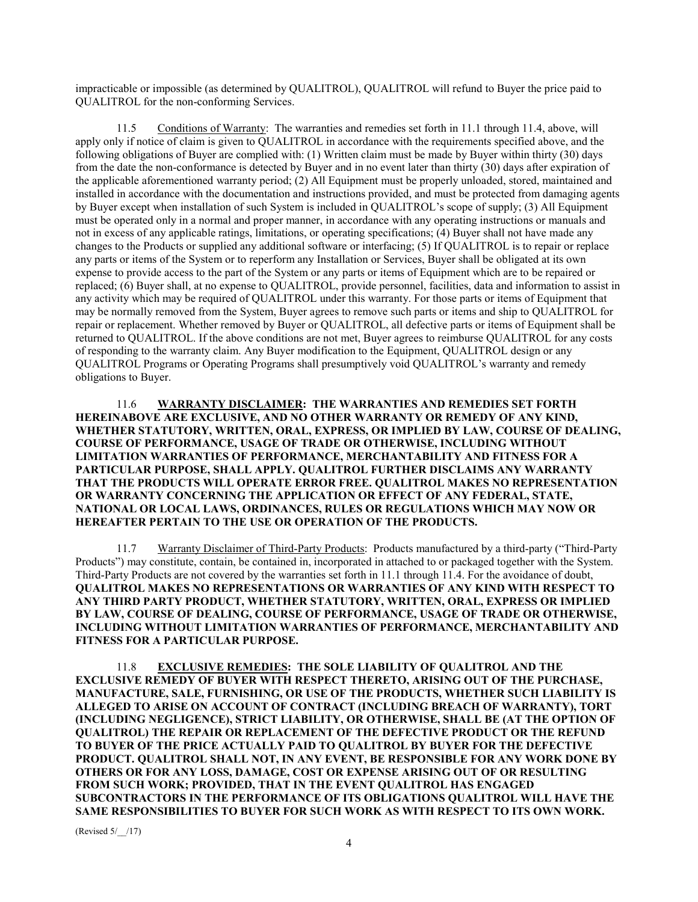impracticable or impossible (as determined by QUALITROL), QUALITROL will refund to Buyer the price paid to QUALITROL for the non-conforming Services.

11.5 Conditions of Warranty: The warranties and remedies set forth in 11.1 through 11.4, above, will apply only if notice of claim is given to QUALITROL in accordance with the requirements specified above, and the following obligations of Buyer are complied with: (1) Written claim must be made by Buyer within thirty (30) days from the date the non-conformance is detected by Buyer and in no event later than thirty (30) days after expiration of the applicable aforementioned warranty period; (2) All Equipment must be properly unloaded, stored, maintained and installed in accordance with the documentation and instructions provided, and must be protected from damaging agents by Buyer except when installation of such System is included in QUALITROL's scope of supply; (3) All Equipment must be operated only in a normal and proper manner, in accordance with any operating instructions or manuals and not in excess of any applicable ratings, limitations, or operating specifications; (4) Buyer shall not have made any changes to the Products or supplied any additional software or interfacing; (5) If QUALITROL is to repair or replace any parts or items of the System or to reperform any Installation or Services, Buyer shall be obligated at its own expense to provide access to the part of the System or any parts or items of Equipment which are to be repaired or replaced; (6) Buyer shall, at no expense to QUALITROL, provide personnel, facilities, data and information to assist in any activity which may be required of QUALITROL under this warranty. For those parts or items of Equipment that may be normally removed from the System, Buyer agrees to remove such parts or items and ship to QUALITROL for repair or replacement. Whether removed by Buyer or QUALITROL, all defective parts or items of Equipment shall be returned to QUALITROL. If the above conditions are not met, Buyer agrees to reimburse QUALITROL for any costs of responding to the warranty claim. Any Buyer modification to the Equipment, QUALITROL design or any QUALITROL Programs or Operating Programs shall presumptively void QUALITROL's warranty and remedy obligations to Buyer.

11.6 **WARRANTY DISCLAIMER: THE WARRANTIES AND REMEDIES SET FORTH HEREINABOVE ARE EXCLUSIVE, AND NO OTHER WARRANTY OR REMEDY OF ANY KIND, WHETHER STATUTORY, WRITTEN, ORAL, EXPRESS, OR IMPLIED BY LAW, COURSE OF DEALING, COURSE OF PERFORMANCE, USAGE OF TRADE OR OTHERWISE, INCLUDING WITHOUT LIMITATION WARRANTIES OF PERFORMANCE, MERCHANTABILITY AND FITNESS FOR A PARTICULAR PURPOSE, SHALL APPLY. QUALITROL FURTHER DISCLAIMS ANY WARRANTY THAT THE PRODUCTS WILL OPERATE ERROR FREE. QUALITROL MAKES NO REPRESENTATION OR WARRANTY CONCERNING THE APPLICATION OR EFFECT OF ANY FEDERAL, STATE, NATIONAL OR LOCAL LAWS, ORDINANCES, RULES OR REGULATIONS WHICH MAY NOW OR HEREAFTER PERTAIN TO THE USE OR OPERATION OF THE PRODUCTS.** 

11.7 Warranty Disclaimer of Third-Party Products: Products manufactured by a third-party ("Third-Party Products") may constitute, contain, be contained in, incorporated in attached to or packaged together with the System. Third-Party Products are not covered by the warranties set forth in 11.1 through 11.4. For the avoidance of doubt, **QUALITROL MAKES NO REPRESENTATIONS OR WARRANTIES OF ANY KIND WITH RESPECT TO ANY THIRD PARTY PRODUCT, WHETHER STATUTORY, WRITTEN, ORAL, EXPRESS OR IMPLIED BY LAW, COURSE OF DEALING, COURSE OF PERFORMANCE, USAGE OF TRADE OR OTHERWISE, INCLUDING WITHOUT LIMITATION WARRANTIES OF PERFORMANCE, MERCHANTABILITY AND FITNESS FOR A PARTICULAR PURPOSE.** 

11.8 **EXCLUSIVE REMEDIES: THE SOLE LIABILITY OF QUALITROL AND THE EXCLUSIVE REMEDY OF BUYER WITH RESPECT THERETO, ARISING OUT OF THE PURCHASE, MANUFACTURE, SALE, FURNISHING, OR USE OF THE PRODUCTS, WHETHER SUCH LIABILITY IS ALLEGED TO ARISE ON ACCOUNT OF CONTRACT (INCLUDING BREACH OF WARRANTY), TORT (INCLUDING NEGLIGENCE), STRICT LIABILITY, OR OTHERWISE, SHALL BE (AT THE OPTION OF QUALITROL) THE REPAIR OR REPLACEMENT OF THE DEFECTIVE PRODUCT OR THE REFUND TO BUYER OF THE PRICE ACTUALLY PAID TO QUALITROL BY BUYER FOR THE DEFECTIVE PRODUCT. QUALITROL SHALL NOT, IN ANY EVENT, BE RESPONSIBLE FOR ANY WORK DONE BY OTHERS OR FOR ANY LOSS, DAMAGE, COST OR EXPENSE ARISING OUT OF OR RESULTING FROM SUCH WORK; PROVIDED, THAT IN THE EVENT QUALITROL HAS ENGAGED SUBCONTRACTORS IN THE PERFORMANCE OF ITS OBLIGATIONS QUALITROL WILL HAVE THE SAME RESPONSIBILITIES TO BUYER FOR SUCH WORK AS WITH RESPECT TO ITS OWN WORK.**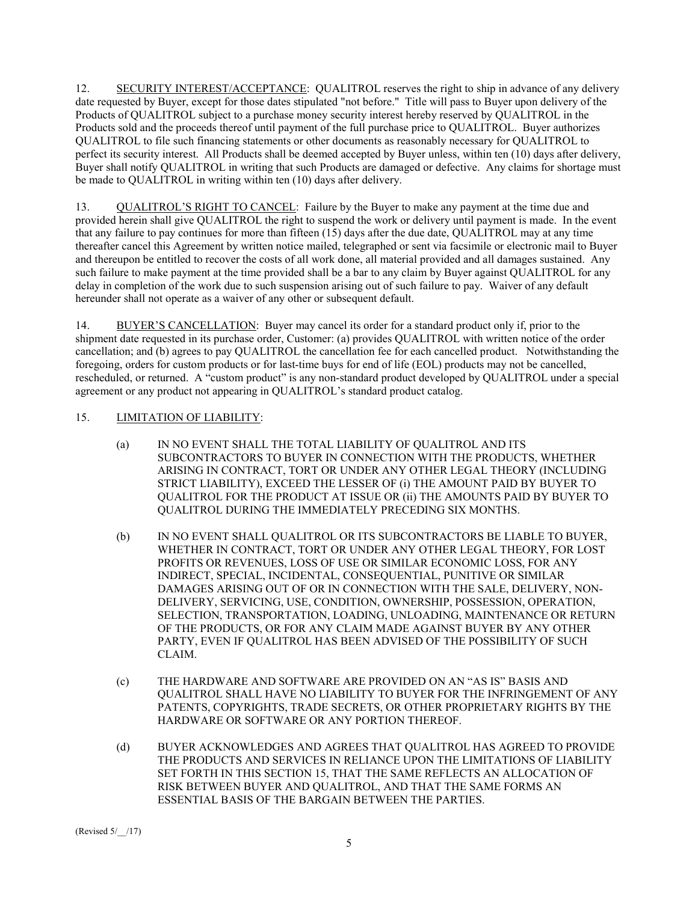12. SECURITY INTEREST/ACCEPTANCE: QUALITROL reserves the right to ship in advance of any delivery date requested by Buyer, except for those dates stipulated "not before." Title will pass to Buyer upon delivery of the Products of QUALITROL subject to a purchase money security interest hereby reserved by QUALITROL in the Products sold and the proceeds thereof until payment of the full purchase price to QUALITROL. Buyer authorizes QUALITROL to file such financing statements or other documents as reasonably necessary for QUALITROL to perfect its security interest. All Products shall be deemed accepted by Buyer unless, within ten (10) days after delivery, Buyer shall notify QUALITROL in writing that such Products are damaged or defective. Any claims for shortage must be made to QUALITROL in writing within ten (10) days after delivery.

13. QUALITROL'S RIGHT TO CANCEL: Failure by the Buyer to make any payment at the time due and provided herein shall give QUALITROL the right to suspend the work or delivery until payment is made. In the event that any failure to pay continues for more than fifteen (15) days after the due date, QUALITROL may at any time thereafter cancel this Agreement by written notice mailed, telegraphed or sent via facsimile or electronic mail to Buyer and thereupon be entitled to recover the costs of all work done, all material provided and all damages sustained. Any such failure to make payment at the time provided shall be a bar to any claim by Buyer against QUALITROL for any delay in completion of the work due to such suspension arising out of such failure to pay. Waiver of any default hereunder shall not operate as a waiver of any other or subsequent default.

14. BUYER'S CANCELLATION: Buyer may cancel its order for a standard product only if, prior to the shipment date requested in its purchase order, Customer: (a) provides QUALITROL with written notice of the order cancellation; and (b) agrees to pay QUALITROL the cancellation fee for each cancelled product. Notwithstanding the foregoing, orders for custom products or for last-time buys for end of life (EOL) products may not be cancelled, rescheduled, or returned. A "custom product" is any non-standard product developed by QUALITROL under a special agreement or any product not appearing in QUALITROL's standard product catalog.

## 15. LIMITATION OF LIABILITY:

- (a) IN NO EVENT SHALL THE TOTAL LIABILITY OF QUALITROL AND ITS SUBCONTRACTORS TO BUYER IN CONNECTION WITH THE PRODUCTS, WHETHER ARISING IN CONTRACT, TORT OR UNDER ANY OTHER LEGAL THEORY (INCLUDING STRICT LIABILITY), EXCEED THE LESSER OF (i) THE AMOUNT PAID BY BUYER TO QUALITROL FOR THE PRODUCT AT ISSUE OR (ii) THE AMOUNTS PAID BY BUYER TO QUALITROL DURING THE IMMEDIATELY PRECEDING SIX MONTHS.
- (b) IN NO EVENT SHALL QUALITROL OR ITS SUBCONTRACTORS BE LIABLE TO BUYER, WHETHER IN CONTRACT, TORT OR UNDER ANY OTHER LEGAL THEORY, FOR LOST PROFITS OR REVENUES, LOSS OF USE OR SIMILAR ECONOMIC LOSS, FOR ANY INDIRECT, SPECIAL, INCIDENTAL, CONSEQUENTIAL, PUNITIVE OR SIMILAR DAMAGES ARISING OUT OF OR IN CONNECTION WITH THE SALE, DELIVERY, NON-DELIVERY, SERVICING, USE, CONDITION, OWNERSHIP, POSSESSION, OPERATION, SELECTION, TRANSPORTATION, LOADING, UNLOADING, MAINTENANCE OR RETURN OF THE PRODUCTS, OR FOR ANY CLAIM MADE AGAINST BUYER BY ANY OTHER PARTY, EVEN IF QUALITROL HAS BEEN ADVISED OF THE POSSIBILITY OF SUCH CLAIM.
- (c) THE HARDWARE AND SOFTWARE ARE PROVIDED ON AN "AS IS" BASIS AND QUALITROL SHALL HAVE NO LIABILITY TO BUYER FOR THE INFRINGEMENT OF ANY PATENTS, COPYRIGHTS, TRADE SECRETS, OR OTHER PROPRIETARY RIGHTS BY THE HARDWARE OR SOFTWARE OR ANY PORTION THEREOF.
- (d) BUYER ACKNOWLEDGES AND AGREES THAT QUALITROL HAS AGREED TO PROVIDE THE PRODUCTS AND SERVICES IN RELIANCE UPON THE LIMITATIONS OF LIABILITY SET FORTH IN THIS SECTION 15, THAT THE SAME REFLECTS AN ALLOCATION OF RISK BETWEEN BUYER AND QUALITROL, AND THAT THE SAME FORMS AN ESSENTIAL BASIS OF THE BARGAIN BETWEEN THE PARTIES.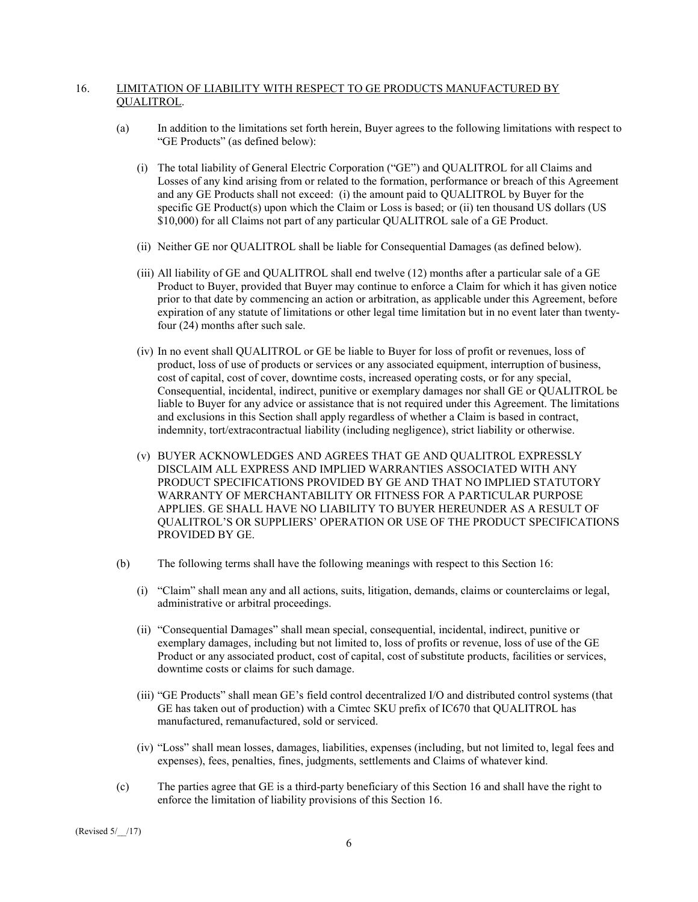#### 16. LIMITATION OF LIABILITY WITH RESPECT TO GE PRODUCTS MANUFACTURED BY QUALITROL.

- (a) In addition to the limitations set forth herein, Buyer agrees to the following limitations with respect to "GE Products" (as defined below):
	- (i) The total liability of General Electric Corporation ("GE") and QUALITROL for all Claims and Losses of any kind arising from or related to the formation, performance or breach of this Agreement and any GE Products shall not exceed: (i) the amount paid to QUALITROL by Buyer for the specific GE Product(s) upon which the Claim or Loss is based; or (ii) ten thousand US dollars (US \$10,000) for all Claims not part of any particular QUALITROL sale of a GE Product.
	- (ii) Neither GE nor QUALITROL shall be liable for Consequential Damages (as defined below).
	- (iii) All liability of GE and QUALITROL shall end twelve (12) months after a particular sale of a GE Product to Buyer, provided that Buyer may continue to enforce a Claim for which it has given notice prior to that date by commencing an action or arbitration, as applicable under this Agreement, before expiration of any statute of limitations or other legal time limitation but in no event later than twentyfour (24) months after such sale.
	- (iv) In no event shall QUALITROL or GE be liable to Buyer for loss of profit or revenues, loss of product, loss of use of products or services or any associated equipment, interruption of business, cost of capital, cost of cover, downtime costs, increased operating costs, or for any special, Consequential, incidental, indirect, punitive or exemplary damages nor shall GE or QUALITROL be liable to Buyer for any advice or assistance that is not required under this Agreement. The limitations and exclusions in this Section shall apply regardless of whether a Claim is based in contract, indemnity, tort/extracontractual liability (including negligence), strict liability or otherwise.
	- (v) BUYER ACKNOWLEDGES AND AGREES THAT GE AND QUALITROL EXPRESSLY DISCLAIM ALL EXPRESS AND IMPLIED WARRANTIES ASSOCIATED WITH ANY PRODUCT SPECIFICATIONS PROVIDED BY GE AND THAT NO IMPLIED STATUTORY WARRANTY OF MERCHANTABILITY OR FITNESS FOR A PARTICULAR PURPOSE APPLIES. GE SHALL HAVE NO LIABILITY TO BUYER HEREUNDER AS A RESULT OF QUALITROL'S OR SUPPLIERS' OPERATION OR USE OF THE PRODUCT SPECIFICATIONS PROVIDED BY GE.
- (b) The following terms shall have the following meanings with respect to this Section 16:
	- (i) "Claim" shall mean any and all actions, suits, litigation, demands, claims or counterclaims or legal, administrative or arbitral proceedings.
	- (ii) "Consequential Damages" shall mean special, consequential, incidental, indirect, punitive or exemplary damages, including but not limited to, loss of profits or revenue, loss of use of the GE Product or any associated product, cost of capital, cost of substitute products, facilities or services, downtime costs or claims for such damage.
	- (iii) "GE Products" shall mean GE's field control decentralized I/O and distributed control systems (that GE has taken out of production) with a Cimtec SKU prefix of IC670 that QUALITROL has manufactured, remanufactured, sold or serviced.
	- (iv) "Loss" shall mean losses, damages, liabilities, expenses (including, but not limited to, legal fees and expenses), fees, penalties, fines, judgments, settlements and Claims of whatever kind.
- (c) The parties agree that GE is a third-party beneficiary of this Section 16 and shall have the right to enforce the limitation of liability provisions of this Section 16.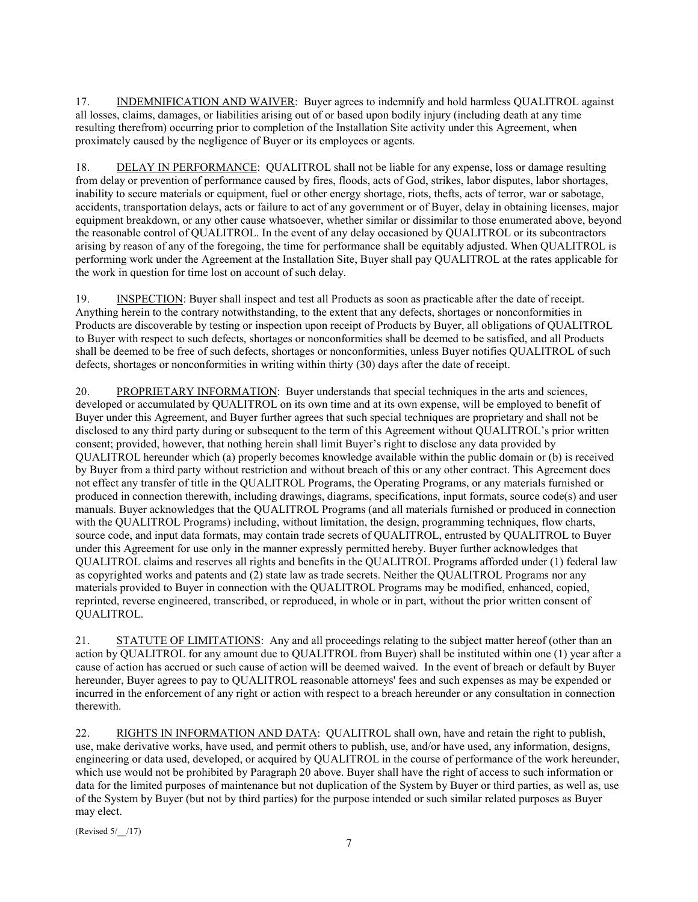17. INDEMNIFICATION AND WAIVER: Buyer agrees to indemnify and hold harmless QUALITROL against all losses, claims, damages, or liabilities arising out of or based upon bodily injury (including death at any time resulting therefrom) occurring prior to completion of the Installation Site activity under this Agreement, when proximately caused by the negligence of Buyer or its employees or agents.

18. DELAY IN PERFORMANCE: QUALITROL shall not be liable for any expense, loss or damage resulting from delay or prevention of performance caused by fires, floods, acts of God, strikes, labor disputes, labor shortages, inability to secure materials or equipment, fuel or other energy shortage, riots, thefts, acts of terror, war or sabotage, accidents, transportation delays, acts or failure to act of any government or of Buyer, delay in obtaining licenses, major equipment breakdown, or any other cause whatsoever, whether similar or dissimilar to those enumerated above, beyond the reasonable control of QUALITROL. In the event of any delay occasioned by QUALITROL or its subcontractors arising by reason of any of the foregoing, the time for performance shall be equitably adjusted. When QUALITROL is performing work under the Agreement at the Installation Site, Buyer shall pay QUALITROL at the rates applicable for the work in question for time lost on account of such delay.

19. INSPECTION: Buyer shall inspect and test all Products as soon as practicable after the date of receipt. Anything herein to the contrary notwithstanding, to the extent that any defects, shortages or nonconformities in Products are discoverable by testing or inspection upon receipt of Products by Buyer, all obligations of QUALITROL to Buyer with respect to such defects, shortages or nonconformities shall be deemed to be satisfied, and all Products shall be deemed to be free of such defects, shortages or nonconformities, unless Buyer notifies QUALITROL of such defects, shortages or nonconformities in writing within thirty (30) days after the date of receipt.

20. PROPRIETARY INFORMATION: Buyer understands that special techniques in the arts and sciences, developed or accumulated by QUALITROL on its own time and at its own expense, will be employed to benefit of Buyer under this Agreement, and Buyer further agrees that such special techniques are proprietary and shall not be disclosed to any third party during or subsequent to the term of this Agreement without QUALITROL's prior written consent; provided, however, that nothing herein shall limit Buyer's right to disclose any data provided by QUALITROL hereunder which (a) properly becomes knowledge available within the public domain or (b) is received by Buyer from a third party without restriction and without breach of this or any other contract. This Agreement does not effect any transfer of title in the QUALITROL Programs, the Operating Programs, or any materials furnished or produced in connection therewith, including drawings, diagrams, specifications, input formats, source code(s) and user manuals. Buyer acknowledges that the QUALITROL Programs (and all materials furnished or produced in connection with the QUALITROL Programs) including, without limitation, the design, programming techniques, flow charts, source code, and input data formats, may contain trade secrets of QUALITROL, entrusted by QUALITROL to Buyer under this Agreement for use only in the manner expressly permitted hereby. Buyer further acknowledges that QUALITROL claims and reserves all rights and benefits in the QUALITROL Programs afforded under (1) federal law as copyrighted works and patents and (2) state law as trade secrets. Neither the QUALITROL Programs nor any materials provided to Buyer in connection with the QUALITROL Programs may be modified, enhanced, copied, reprinted, reverse engineered, transcribed, or reproduced, in whole or in part, without the prior written consent of QUALITROL.

21. STATUTE OF LIMITATIONS: Any and all proceedings relating to the subject matter hereof (other than an action by QUALITROL for any amount due to QUALITROL from Buyer) shall be instituted within one (1) year after a cause of action has accrued or such cause of action will be deemed waived. In the event of breach or default by Buyer hereunder, Buyer agrees to pay to QUALITROL reasonable attorneys' fees and such expenses as may be expended or incurred in the enforcement of any right or action with respect to a breach hereunder or any consultation in connection therewith.

22. RIGHTS IN INFORMATION AND DATA: QUALITROL shall own, have and retain the right to publish, use, make derivative works, have used, and permit others to publish, use, and/or have used, any information, designs, engineering or data used, developed, or acquired by QUALITROL in the course of performance of the work hereunder, which use would not be prohibited by Paragraph 20 above. Buyer shall have the right of access to such information or data for the limited purposes of maintenance but not duplication of the System by Buyer or third parties, as well as, use of the System by Buyer (but not by third parties) for the purpose intended or such similar related purposes as Buyer may elect.